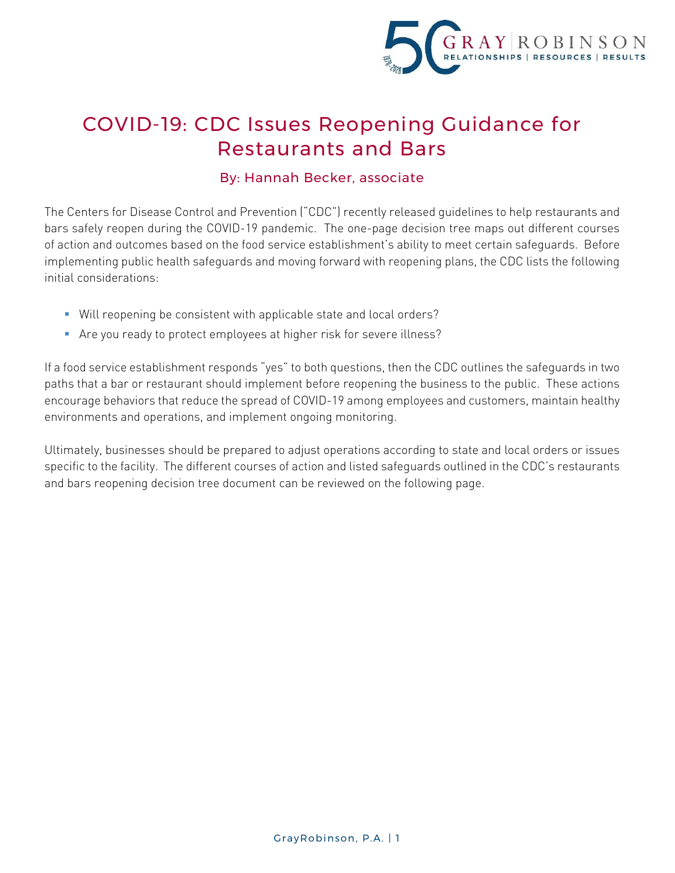

## COVID-19: CDC Issues Reopening Guidance for Restaurants and Bars

## By: Hannah Becker, associate

The Centers for Disease Control and Prevention ("CDC") recently released guidelines to help restaurants and bars safely reopen during the COVID-19 pandemic. The one-page decision tree maps out different courses of action and outcomes based on the food service establishment's ability to meet certain safeguards. Before implementing public health safeguards and moving forward with reopening plans, the CDC lists the following initial considerations:

- Will reopening be consistent with applicable state and local orders?
- Are you ready to protect employees at higher risk for severe illness?

If a food service establishment responds "yes" to both questions, then the CDC outlines the safeguards in two paths that a bar or restaurant should implement before reopening the business to the public. These actions encourage behaviors that reduce the spread of COVID-19 among employees and customers, maintain healthy environments and operations, and implement ongoing monitoring.

Ultimately, businesses should be prepared to adjust operations according to state and local orders or issues specific to the facility. The different courses of action and listed safeguards outlined in the CDC's restaurants and bars reopening decision tree document can be reviewed on the following page.